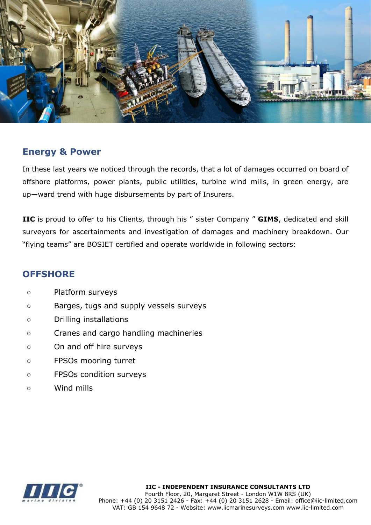

## **Energy & Power**

In these last years we noticed through the records, that a lot of damages occurred on board of offshore platforms, power plants, public utilities, turbine wind mills, in green energy, are up—ward trend with huge disbursements by part of Insurers.

**IIC** is proud to offer to his Clients, through his " sister Company " **GIMS**, dedicated and skill surveyors for ascertainments and investigation of damages and machinery breakdown. Our "flying teams" are BOSIET certified and operate worldwide in following sectors:

## **OFFSHORE**

- Platform surveys
- Barges, tugs and supply vessels surveys
- Drilling installations
- Cranes and cargo handling machineries
- On and off hire surveys
- FPSOs mooring turret
- FPSOs condition surveys
- Wind mills